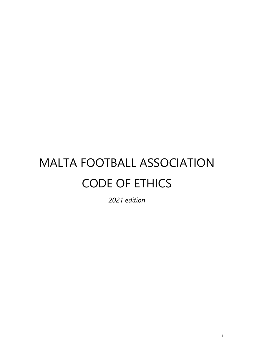# MALTA FOOTBALL ASSOCIATION CODE OF ETHICS

*2021 edition*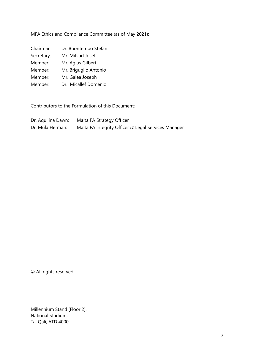MFA Ethics and Compliance Committee (as of May 2021):

| Chairman:      | Dr. Buontempo Stefan                                            |
|----------------|-----------------------------------------------------------------|
| C - ---+- -- - | $M_{\text{in}}$ $M_{\text{in}}$ $L_{\text{in}}$ $L_{\text{in}}$ |

Secretary: Mr. Mifsud Josef

Member: Mr. Agius Gilbert

Member: Mr. Briguglio Antonio

Member: Mr. Galea Joseph

Member: Dr. Micallef Domenic

Contributors to the Formulation of this Document:

| Dr. Aquilina Dawn: | Malta FA Strategy Officer                           |
|--------------------|-----------------------------------------------------|
| Dr. Mula Herman:   | Malta FA Integrity Officer & Legal Services Manager |

© All rights reserved

Millennium Stand (Floor 2), National Stadium, Ta' Qali, ATD 4000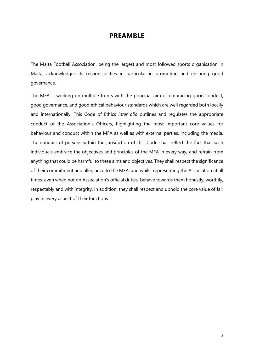### **PREAMBLE**

The Malta Football Association, being the largest and most followed sports organisation in Malta, acknowledges its responsibilities in particular in promoting and ensuring good governance.

The MFA is working on multiple fronts with the principal aim of embracing good conduct, good governance, and good ethical behaviour standards which are well regarded both locally and internationally. This Code of Ethics *inter alia* outlines and regulates the appropriate conduct of the Association's Officers, highlighting the most important core values for behaviour and conduct within the MFA as well as with external parties, including the media. The conduct of persons within the jurisdiction of this Code shall reflect the fact that such individuals embrace the objectives and principles of the MFA in every way, and refrain from anything that could be harmful to these aims and objectives. They shall respect the significance of their commitment and allegiance to the MFA, and whilst representing the Association at all times, even when not on Association's official duties, behave towards them honestly, worthily, respectably and with integrity. In addition, they shall respect and uphold the core value of fair play in every aspect of their functions.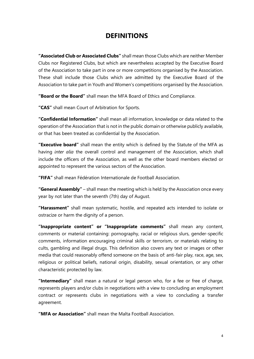## **DEFINITIONS**

**"Associated Club or Associated Clubs"** shall mean those Clubs which are neither Member Clubs nor Registered Clubs, but which are nevertheless accepted by the Executive Board of the Association to take part in one or more competitions organised by the Association. These shall include those Clubs which are admitted by the Executive Board of the Association to take part in Youth and Women's competitions organised by the Association.

**"Board or the Board"** shall mean the MFA Board of Ethics and Compliance.

**"CAS"** shall mean Court of Arbitration for Sports.

**"Confidential Information"** shall mean all information, knowledge or data related to the operation of the Association that is not in the public domain or otherwise publicly available, or that has been treated as confidential by the Association.

**"Executive board"** shall mean the entity which is defined by the Statute of the MFA as having *inter alia* the overall control and management of the Association, which shall include the officers of the Association, as well as the other board members elected or appointed to represent the various sectors of the Association.

**"FIFA"** shall mean Fédération Internationale de Football Association.

**"General Assembly"** – shall mean the meeting which is held by the Association once every year by not later than the seventh (7th) day of August.

**"Harassment"** shall mean systematic, hostile, and repeated acts intended to isolate or ostracize or harm the dignity of a person.

**"Inappropriate content" or "Inappropriate comments"** shall mean any content, comments or material containing: pornography, racial or religious slurs, gender-specific comments, information encouraging criminal skills or terrorism, or materials relating to cults, gambling and illegal drugs. This definition also covers any text or images or other media that could reasonably offend someone on the basis of: anti-fair play, race, age, sex, religious or political beliefs, national origin, disability, sexual orientation, or any other characteristic protected by law.

**"Intermediary"** shall mean a natural or legal person who, for a fee or free of charge, represents players and/or clubs in negotiations with a view to concluding an employment contract or represents clubs in negotiations with a view to concluding a transfer agreement.

**"MFA or Association"** shall mean the Malta Football Association.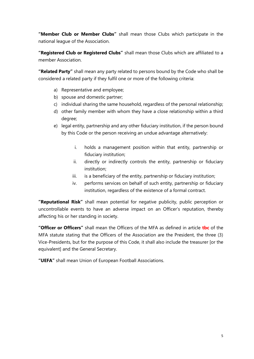**"Member Club or Member Clubs"** shall mean those Clubs which participate in the national league of the Association.

**"Registered Club or Registered Clubs"** shall mean those Clubs which are affiliated to a member Association.

**"Related Party"** shall mean any party related to persons bound by the Code who shall be considered a related party if they fulfil one or more of the following criteria:

- a) Representative and employee;
- b) spouse and domestic partner;
- c) individual sharing the same household, regardless of the personal relationship;
- d) other family member with whom they have a close relationship within a third degree;
- e) legal entity, partnership and any other fiduciary institution, if the person bound by this Code or the person receiving an undue advantage alternatively:
	- i. holds a management position within that entity, partnership or fiduciary institution;
	- ii. directly or indirectly controls the entity, partnership or fiduciary institution;
	- iii. is a beneficiary of the entity, partnership or fiduciary institution;
	- iv. performs services on behalf of such entity, partnership or fiduciary institution, regardless of the existence of a formal contract.

**"Reputational Risk"** shall mean potential for negative publicity, public perception or uncontrollable events to have an adverse impact on an Officer's reputation, thereby affecting his or her standing in society.

**"Officer or Officers"** shall mean the Officers of the MFA as defined in article **tbc** of the MFA statute stating that the Officers of the Association are the President, the three (3) Vice-Presidents, but for the purpose of this Code, it shall also include the treasurer [or the equivalent] and the General Secretary.

**"UEFA"** shall mean Union of European Football Associations.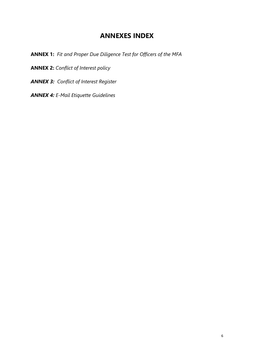## **ANNEXES INDEX**

**ANNEX 1:** *Fit and Proper Due Diligence Test for Officers of the MFA*

**ANNEX 2:** *Conflict of Interest policy*

*ANNEX 3: Conflict of Interest Register*

*ANNEX 4: E-Mail Etiquette Guidelines*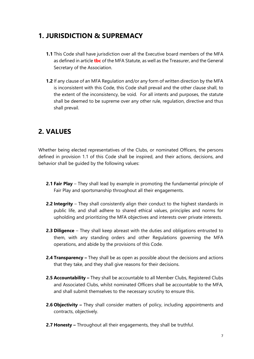# **1. JURISDICTION & SUPREMACY**

- **1.1** This Code shall have jurisdiction over all the Executive board members of the MFA as defined in article **tbc** of the MFA Statute, as well as the Treasurer, and the General Secretary of the Association.
- **1.2** If any clause of an MFA Regulation and/or any form of written direction by the MFA is inconsistent with this Code, this Code shall prevail and the other clause shall, to the extent of the inconsistency, be void. For all intents and purposes, the statute shall be deemed to be supreme over any other rule, regulation, directive and thus shall prevail.

# **2. VALUES**

Whether being elected representatives of the Clubs, or nominated Officers, the persons defined in provision 1.1 of this Code shall be inspired, and their actions, decisions, and behavior shall be guided by the following values:

- **2.1 Fair Play** They shall lead by example in promoting the fundamental principle of Fair Play and sportsmanship throughout all their engagements.
- **2.2 Integrity** They shall consistently align their conduct to the highest standards in public life, and shall adhere to shared ethical values, principles and norms for upholding and prioritizing the MFA objectives and interests over private interests.
- **2.3 Diligence** They shall keep abreast with the duties and obligations entrusted to them, with any standing orders and other Regulations governing the MFA operations, and abide by the provisions of this Code.
- **2.4 Transparency –** They shall be as open as possible about the decisions and actions that they take, and they shall give reasons for their decisions.
- **2.5 Accountability –** They shall be accountable to all Member Clubs, Registered Clubs and Associated Clubs, whilst nominated Officers shall be accountable to the MFA, and shall submit themselves to the necessary scrutiny to ensure this.
- **2.6 Objectivity –** They shall consider matters of policy, including appointments and contracts, objectively.
- **2.7 Honesty –** Throughout all their engagements, they shall be truthful.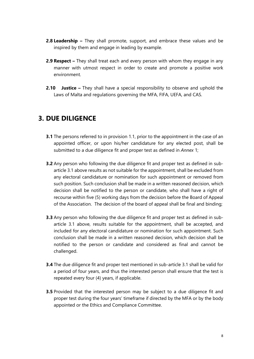- **2.8 Leadership –** They shall promote, support, and embrace these values and be inspired by them and engage in leading by example.
- **2.9 Respect –** They shall treat each and every person with whom they engage in any manner with utmost respect in order to create and promote a positive work environment.
- **2.10 Justice –** They shall have a special responsibility to observe and uphold the Laws of Malta and regulations governing the MFA, FIFA, UEFA, and CAS.

# **3. DUE DILIGENCE**

- **3.1** The persons referred to in provision 1.1, prior to the appointment in the case of an appointed officer, or upon his/her candidature for any elected post, shall be submitted to a due diligence fit and proper test as defined in *Annex* 1;
- **3.2** Any person who following the due diligence fit and proper test as defined in subarticle 3.1 above results as not suitable for the appointment, shall be excluded from any electoral candidature or nomination for such appointment or removed from such position. Such conclusion shall be made in a written reasoned decision, which decision shall be notified to the person or candidate, who shall have a right of recourse within five (5) working days from the decision before the Board of Appeal of the Association. The decision of the board of appeal shall be final and binding;
- **3.3** Any person who following the due diligence fit and proper test as defined in subarticle 3.1 above, results suitable for the appointment, shall be accepted, and included for any electoral candidature or nomination for such appointment. Such conclusion shall be made in a written reasoned decision, which decision shall be notified to the person or candidate and considered as final and cannot be challenged.
- **3.4** The due diligence fit and proper test mentioned in sub-article 3.1 shall be valid for a period of four years, and thus the interested person shall ensure that the test is repeated every four (4) years, if applicable.
- **3.5** Provided that the interested person may be subject to a due diligence fit and proper test during the four years' timeframe if directed by the MFA or by the body appointed or the Ethics and Compliance Committee.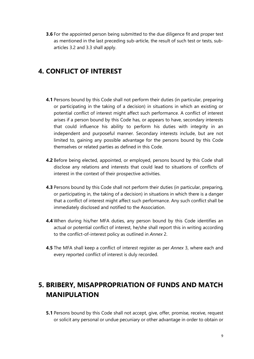**3.6** For the appointed person being submitted to the due diligence fit and proper test as mentioned in the last preceding sub-article, the result of such test or tests, subarticles 3.2 and 3.3 shall apply.

## **4. CONFLICT OF INTEREST**

- **4.1** Persons bound by this Code shall not perform their duties (in particular, preparing or participating in the taking of a decision) in situations in which an existing or potential conflict of interest might affect such performance. A conflict of interest arises if a person bound by this Code has, or appears to have, secondary interests that could influence his ability to perform his duties with integrity in an independent and purposeful manner. Secondary interests include, but are not limited to, gaining any possible advantage for the persons bound by this Code themselves or related parties as defined in this Code.
- **4.2** Before being elected, appointed, or employed, persons bound by this Code shall disclose any relations and interests that could lead to situations of conflicts of interest in the context of their prospective activities.
- **4.3** Persons bound by this Code shall not perform their duties (in particular, preparing, or participating in, the taking of a decision) in situations in which there is a danger that a conflict of interest might affect such performance. Any such conflict shall be immediately disclosed and notified to the Association.
- **4.4** When during his/her MFA duties, any person bound by this Code identifies an actual or potential conflict of interest, he/she shall report this in writing according to the conflict-of-interest policy as outlined in *Annex* 2.
- **4.5** The MFA shall keep a conflict of interest register as per *Annex* 3, where each and every reported conflict of interest is duly recorded.

# **5. BRIBERY, MISAPPROPRIATION OF FUNDS AND MATCH MANIPULATION**

**5.1** Persons bound by this Code shall not accept, give, offer, promise, receive, request or solicit any personal or undue pecuniary or other advantage in order to obtain or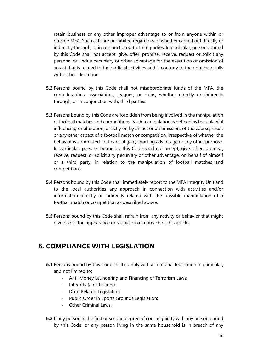retain business or any other improper advantage to or from anyone within or outside MFA. Such acts are prohibited regardless of whether carried out directly or indirectly through, or in conjunction with, third parties. In particular, persons bound by this Code shall not accept, give, offer, promise, receive, request or solicit any personal or undue pecuniary or other advantage for the execution or omission of an act that is related to their official activities and is contrary to their duties or falls within their discretion.

- **5.2** Persons bound by this Code shall not misappropriate funds of the MFA, the confederations, associations, leagues, or clubs, whether directly or indirectly through, or in conjunction with, third parties.
- **5.3** Persons bound by this Code are forbidden from being involved in the manipulation of football matches and competitions. Such manipulation is defined as the unlawful influencing or alteration, directly or, by an act or an omission, of the course, result or any other aspect of a football match or competition, irrespective of whether the behavior is committed for financial gain, sporting advantage or any other purpose. In particular, persons bound by this Code shall not accept, give, offer, promise, receive, request, or solicit any pecuniary or other advantage, on behalf of himself or a third party, in relation to the manipulation of football matches and competitions.
- **5.4** Persons bound by this Code shall immediately report to the MFA Integrity Unit and to the local authorities any approach in connection with activities and/or information directly or indirectly related with the possible manipulation of a football match or competition as described above.
- **5.5** Persons bound by this Code shall refrain from any activity or behavior that might give rise to the appearance or suspicion of a breach of this article.

## **6. COMPLIANCE WITH LEGISLATION**

- **6.1** Persons bound by this Code shall comply with all national legislation in particular, and not limited to:
	- Anti-Money Laundering and Financing of Terrorism Laws;
	- Integrity (anti-bribery);
	- Drug Related Legislation.
	- Public Order in Sports Grounds Legislation;
	- Other Criminal Laws.
- **6.2** If any person in the first or second degree of consanguinity with any person bound by this Code, or any person living in the same household is in breach of any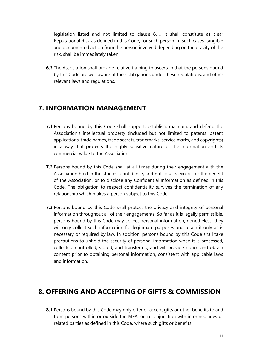legislation listed and not limited to clause 6.1., it shall constitute as clear Reputational Risk as defined in this Code, for such person. In such cases, tangible and documented action from the person involved depending on the gravity of the risk, shall be immediately taken.

**6.3** The Association shall provide relative training to ascertain that the persons bound by this Code are well aware of their obligations under these regulations, and other relevant laws and regulations.

## **7. INFORMATION MANAGEMENT**

- **7.1** Persons bound by this Code shall support, establish, maintain, and defend the Association's intellectual property (included but not limited to patents, patent applications, trade names, trade secrets, trademarks, service marks, and copyrights) in a way that protects the highly sensitive nature of the information and its commercial value to the Association.
- **7.2** Persons bound by this Code shall at all times during their engagement with the Association hold in the strictest confidence, and not to use, except for the benefit of the Association, or to disclose any Confidential Information as defined in this Code. The obligation to respect confidentiality survives the termination of any relationship which makes a person subject to this Code.
- **7.3** Persons bound by this Code shall protect the privacy and integrity of personal information throughout all of their engagements. So far as it is legally permissible, persons bound by this Code may collect personal information, nonetheless, they will only collect such information for legitimate purposes and retain it only as is necessary or required by law. In addition, persons bound by this Code shall take precautions to uphold the security of personal information when it is processed, collected, controlled, stored, and transferred, and will provide notice and obtain consent prior to obtaining personal information, consistent with applicable laws and information.

# **8. OFFERING AND ACCEPTING OF GIFTS & COMMISSION**

**8.1** Persons bound by this Code may only offer or accept gifts or other benefits to and from persons within or outside the MFA, or in conjunction with intermediaries or related parties as defined in this Code, where such gifts or benefits: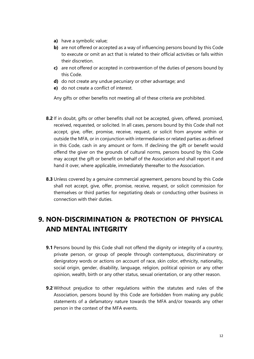- **a)** have a symbolic value;
- **b)** are not offered or accepted as a way of influencing persons bound by this Code to execute or omit an act that is related to their official activities or falls within their discretion.
- **c)** are not offered or accepted in contravention of the duties of persons bound by this Code.
- **d)** do not create any undue pecuniary or other advantage; and
- **e)** do not create a conflict of interest.

Any gifts or other benefits not meeting all of these criteria are prohibited.

- **8.2** If in doubt, gifts or other benefits shall not be accepted, given, offered, promised, received, requested, or solicited. In all cases, persons bound by this Code shall not accept, give, offer, promise, receive, request, or solicit from anyone within or outside the MFA, or in conjunction with intermediaries or related parties as defined in this Code, cash in any amount or form. If declining the gift or benefit would offend the giver on the grounds of cultural norms, persons bound by this Code may accept the gift or benefit on behalf of the Association and shall report it and hand it over, where applicable, immediately thereafter to the Association.
- **8.3** Unless covered by a genuine commercial agreement, persons bound by this Code shall not accept, give, offer, promise, receive, request, or solicit commission for themselves or third parties for negotiating deals or conducting other business in connection with their duties.

# **9. NON-DISCRIMINATION & PROTECTION OF PHYSICAL AND MENTAL INTEGRITY**

- **9.1** Persons bound by this Code shall not offend the dignity or integrity of a country, private person, or group of people through contemptuous, discriminatory or denigratory words or actions on account of race, skin color, ethnicity, nationality, social origin, gender, disability, language, religion, political opinion or any other opinion, wealth, birth or any other status, sexual orientation, or any other reason.
- **9.2** Without prejudice to other regulations within the statutes and rules of the Association, persons bound by this Code are forbidden from making any public statements of a defamatory nature towards the MFA and/or towards any other person in the context of the MFA events.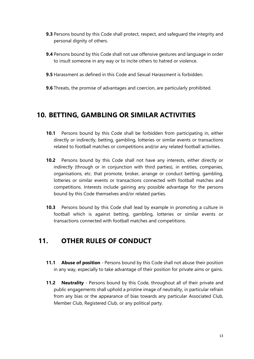- **9.3** Persons bound by this Code shall protect, respect, and safequard the integrity and personal dignity of others.
- **9.4** Persons bound by this Code shall not use offensive gestures and language in order to insult someone in any way or to incite others to hatred or violence.
- **9.5** Harassment as defined in this Code and Sexual Harassment is forbidden.
- **9.6** Threats, the promise of advantages and coercion, are particularly prohibited.

## **10. BETTING, GAMBLING OR SIMILAR ACTIVITIES**

- **10.1** Persons bound by this Code shall be forbidden from participating in, either directly or indirectly, betting, gambling, lotteries or similar events or transactions related to football matches or competitions and/or any related football activities.
- **10.2** Persons bound by this Code shall not have any interests, either directly or indirectly (through or in conjunction with third parties), in entities, companies, organisations, etc. that promote, broker, arrange or conduct betting, gambling, lotteries or similar events or transactions connected with football matches and competitions. Interests include gaining any possible advantage for the persons bound by this Code themselves and/or related parties.
- **10.3** Persons bound by this Code shall lead by example in promoting a culture in football which is against betting, gambling, lotteries or similar events or transactions connected with football matches and competitions.

# **11. OTHER RULES OF CONDUCT**

- **11.1 Abuse of position** Persons bound by this Code shall not abuse their position in any way, especially to take advantage of their position for private aims or gains.
- **11.2 Neutrality**  Persons bound by this Code, throughout all of their private and public engagements shall uphold a pristine image of neutrality, in particular refrain from any bias or the appearance of bias towards any particular Associated Club, Member Club, Registered Club, or any political party.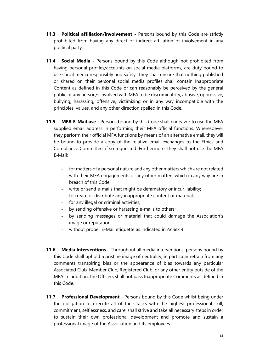- **11.3 Political affiliation/involvement -** Persons bound by this Code are strictly prohibited from having any direct or indirect affiliation or involvement in any political party.
- **11.4 Social Media -** Persons bound by this Code although not prohibited from having personal profiles/accounts on social media platforms, are duty bound to use social media responsibly and safely. They shall ensure that nothing published or shared on their personal social media profiles shall contain Inappropriate Content as defined in this Code or can reasonably be perceived by the general public or any person/s involved with MFA to be discriminatory, abusive, oppressive, bullying, harassing, offensive, victimizing or in any way incompatible with the principles, values, and any other direction spelled in this Code.
- **11.5 MFA E-Mail use -** Persons bound by this Code shall endeavor to use the MFA supplied email address in performing their MFA official functions. Wheresoever they perform their official MFA functions by means of an alternative email, they will be bound to provide a copy of the relative email exchanges to the Ethics and Compliance Committee, if so requested. Furthermore, they shall not use the MFA E-Mail:
	- for matters of a personal nature and any other matters which are not related with their MFA engagements or any other matters which in any way are in breach of this Code;
	- write or send e-mails that might be defamatory or incur liability;
	- to create or distribute any inappropriate content or material;
	- for any illegal or criminal activities;
	- by sending offensive or harassing e-mails to others;
	- by sending messages or material that could damage the Association's image or reputation;
	- without proper E-Mail etiquette as indicated in *Annex 4*.
- **11.6 Media Interventions –** Throughout all media interventions, persons bound by this Code shall uphold a pristine image of neutrality, in particular refrain from any comments transpiring bias or the appearance of bias towards any particular Associated Club, Member Club, Registered Club, or any other entity outside of the MFA. In addition, the Officers shall not pass Inappropriate Comments as defined in this Code.
- **11.7 Professional Development** Persons bound by this Code whilst being under the obligation to execute all of their tasks with the highest professional skill, commitment, selflessness, and care, shall strive and take all necessary steps in order to sustain their own professional development and promote and sustain a professional image of the Association and its employees.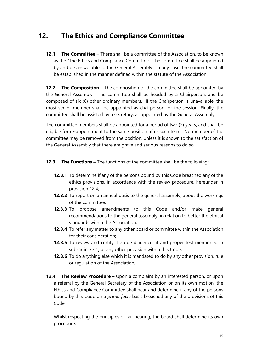# **12. The Ethics and Compliance Committee**

**12.1 The Committee** – There shall be a committee of the Association, to be known as the "The Ethics and Compliance Committee". The committee shall be appointed by and be answerable to the General Assembly. In any case, the committee shall be established in the manner defined within the statute of the Association.

**12.2 The Composition** – The composition of the committee shall be appointed by the General Assembly. The committee shall be headed by a Chairperson, and be composed of six (6) other ordinary members. If the Chairperson is unavailable, the most senior member shall be appointed as chairperson for the session. Finally, the committee shall be assisted by a secretary, as appointed by the General Assembly.

The committee members shall be appointed for a period of two (2) years, and shall be eligible for re-appointment to the same position after such term. No member of the committee may be removed from the position, unless it is shown to the satisfaction of the General Assembly that there are grave and serious reasons to do so.

- **12.3** The Functions The functions of the committee shall be the following:
	- **12.3.1** To determine if any of the persons bound by this Code breached any of the ethics provisions, in accordance with the review procedure, hereunder in provision 12.4;
	- **12.3.2** To report on an annual basis to the general assembly, about the workings of the committee;
	- **12.3.3** To propose amendments to this Code and/or make general recommendations to the general assembly, in relation to better the ethical standards within the Association;
	- **12.3.4** To refer any matter to any other board or committee within the Association for their consideration;
	- **12.3.5** To review and certify the due diligence fit and proper test mentioned in sub-article 3.1, or any other provision within this Code;
	- **12.3.6** To do anything else which it is mandated to do by any other provision, rule or regulation of the Association;
- **12.4 The Review Procedure –** Upon a complaint by an interested person, or upon a referral by the General Secretary of the Association or on its own motion, the Ethics and Compliance Committee shall hear and determine if any of the persons bound by this Code on a *prima facie* basis breached any of the provisions of this Code;

Whilst respecting the principles of fair hearing, the board shall determine its own procedure;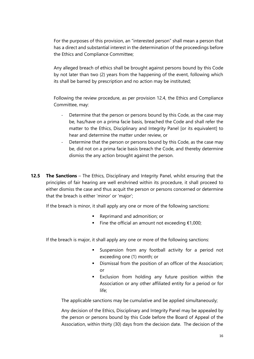For the purposes of this provision, an "interested person" shall mean a person that has a direct and substantial interest in the determination of the proceedings before the Ethics and Compliance Committee;

Any alleged breach of ethics shall be brought against persons bound by this Code by not later than two (2) years from the happening of the event, following which its shall be barred by prescription and no action may be instituted;

Following the review procedure, as per provision 12.4, the Ethics and Compliance Committee, may:

- Determine that the person or persons bound by this Code, as the case may be, has/have on a prima facie basis, breached the Code and shall refer the matter to the Ethics, Disciplinary and Integrity Panel [or its equivalent] to hear and determine the matter under review, or
- Determine that the person or persons bound by this Code, as the case may be, did not on a prima facie basis breach the Code, and thereby determine dismiss the any action brought against the person.
- **12.5 The Sanctions** The Ethics, Disciplinary and Integrity Panel, whilst ensuring that the principles of fair hearing are well enshrined within its procedure, it shall proceed to either dismiss the case and thus acquit the person or persons concerned or determine that the breach is either 'minor' or 'major';

If the breach is minor, it shall apply any one or more of the following sanctions:

- Reprimand and admonition; or
- Fine the official an amount not exceeding €1,000;

If the breach is major, it shall apply any one or more of the following sanctions:

- **EXE** Suspension from any football activity for a period not exceeding one (1) month; or
- **•** Dismissal from the position of an officer of the Association; or
- Exclusion from holding any future position within the Association or any other affiliated entity for a period or for life;

The applicable sanctions may be cumulative and be applied simultaneously;

Any decision of the Ethics, Disciplinary and Integrity Panel may be appealed by the person or persons bound by this Code before the Board of Appeal of the Association, within thirty (30) days from the decision date. The decision of the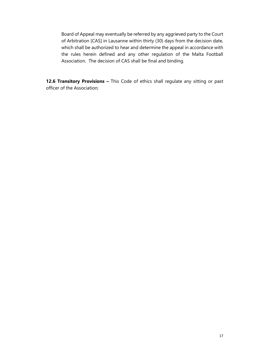Board of Appeal may eventually be referred by any aggrieved party to the Court of Arbitration [CAS] in Lausanne within thirty (30) days from the decision date, which shall be authorized to hear and determine the appeal in accordance with the rules herein defined and any other regulation of the Malta Football Association. The decision of CAS shall be final and binding.

**12.6 Transitory Provisions –** This Code of ethics shall regulate any sitting or past officer of the Association;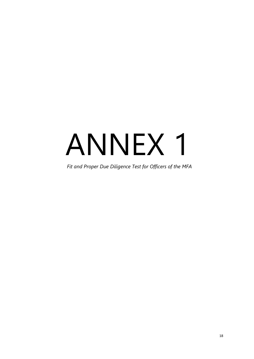# ANNEX 1

*Fit and Proper Due Diligence Test for Officers of the MFA*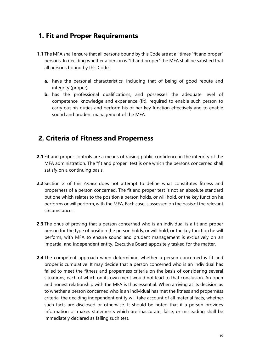# **1. Fit and Proper Requirements**

- **1.1** The MFA shall ensure that all persons bound by this Code are at all times "fit and proper" persons. In deciding whether a person is "fit and proper" the MFA shall be satisfied that all persons bound by this Code:
	- **a.** have the personal characteristics, including that of being of good repute and integrity (proper);
	- **b.** has the professional qualifications, and possesses the adequate level of competence, knowledge and experience (fit), required to enable such person to carry out his duties and perform his or her key function effectively and to enable sound and prudent management of the MFA.

# **2. Criteria of Fitness and Properness**

- **2.1** Fit and proper controls are a means of raising public confidence in the integrity of the MFA administration. The "fit and proper" test is one which the persons concerned shall satisfy on a continuing basis.
- **2.2** Section 2 of this *Annex* does not attempt to define what constitutes fitness and properness of a person concerned. The fit and proper test is not an absolute standard but one which relates to the position a person holds, or will hold, or the key function he performs or will perform, with the MFA. Each case is assessed on the basis of the relevant circumstances.
- **2.3** The onus of proving that a person concerned who is an individual is a fit and proper person for the type of position the person holds, or will hold, or the key function he will perform, with MFA to ensure sound and prudent management is exclusively on an impartial and independent entity, Executive Board appositely tasked for the matter.
- **2.4** The competent approach when determining whether a person concerned is fit and proper is cumulative. It may decide that a person concerned who is an individual has failed to meet the fitness and properness criteria on the basis of considering several situations, each of which on its own merit would not lead to that conclusion. An open and honest relationship with the MFA is thus essential. When arriving at its decision as to whether a person concerned who is an individual has met the fitness and properness criteria, the deciding independent entity will take account of all material facts, whether such facts are disclosed or otherwise. It should be noted that if a person provides information or makes statements which are inaccurate, false, or misleading shall be immediately declared as failing such test.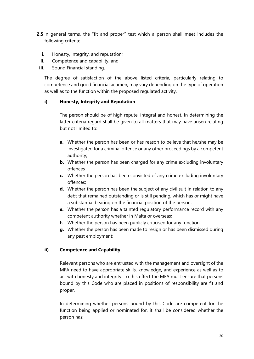- **2.5** In general terms, the "fit and proper" test which a person shall meet includes the following criteria:
	- **i.** Honesty, integrity, and reputation;
	- **ii.** Competence and capability; and
- **iii.** Sound Financial standing.

The degree of satisfaction of the above listed criteria, particularly relating to competence and good financial acumen, may vary depending on the type of operation as well as to the function within the proposed regulated activity.

#### **i) Honesty, Integrity and Reputation**

The person should be of high repute, integral and honest. In determining the latter criteria regard shall be given to all matters that may have arisen relating but not limited to:

- **a.** Whether the person has been or has reason to believe that he/she may be investigated for a criminal offence or any other proceedings by a competent authority;
- **b.** Whether the person has been charged for any crime excluding involuntary offences
- **c.** Whether the person has been convicted of any crime excluding involuntary offences;
- **d.** Whether the person has been the subject of any civil suit in relation to any debt that remained outstanding or is still pending, which has or might have a substantial bearing on the financial position of the person;
- **e.** Whether the person has a tainted regulatory performance record with any competent authority whether in Malta or overseas;
- **f.** Whether the person has been publicly criticised for any function;
- **g.** Whether the person has been made to resign or has been dismissed during any past employment;

#### **ii) Competence and Capability**

Relevant persons who are entrusted with the management and oversight of the MFA need to have appropriate skills, knowledge, and experience as well as to act with honesty and integrity. To this effect the MFA must ensure that persons bound by this Code who are placed in positions of responsibility are fit and proper.

In determining whether persons bound by this Code are competent for the function being applied or nominated for, it shall be considered whether the person has: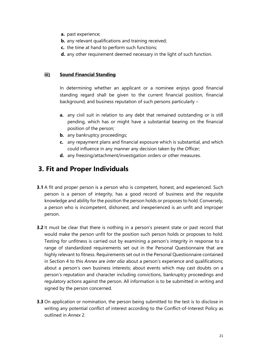- **a.** past experience;
- **b.** any relevant qualifications and training received;
- **c.** the time at hand to perform such functions;
- **d.** any other requirement deemed necessary in the light of such function.

#### **iii) Sound Financial Standing**

In determining whether an applicant or a nominee enjoys good financial standing regard shall be given to the current financial position, financial background, and business reputation of such persons particularly –

- **a.** any civil suit in relation to any debt that remained outstanding or is still pending, which has or might have a substantial bearing on the financial position of the person;
- **b.** any bankruptcy proceedings;
- **c.** any repayment plans and financial exposure which is substantial, and which could influence in any manner any decision taken by the Officer;
- **d.** any freezing/attachment/investigation orders or other measures.

## **3. Fit and Proper Individuals**

- **3.1** A fit and proper person is a person who is competent, honest, and experienced. Such person is a person of integrity, has a good record of business and the requisite knowledge and ability for the position the person holds or proposes to hold. Conversely, a person who is incompetent, dishonest, and inexperienced is an unfit and improper person.
- **3.2** It must be clear that there is nothing in a person's present state or past record that would make the person unfit for the position such person holds or proposes to hold. Testing for unfitness is carried out by examining a person's integrity in response to a range of standardized requirements set out in the Personal Questionnaire that are highly relevant to fitness. Requirements set out in the Personal Questionnaire contained in Section 4 to this *Annex* are *inter alia* about a person's experience and qualifications; about a person's own business interests; about events which may cast doubts on a person's reputation and character including convictions, bankruptcy proceedings and regulatory actions against the person. All information is to be submitted in writing and signed by the person concerned.
- **3.3** On application or nomination, the person being submitted to the test is to disclose in writing any potential conflict of interest according to the Conflict-of-Interest Policy as outlined in *Annex* 2.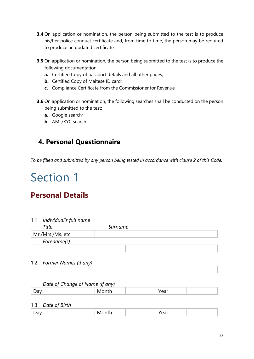- **3.4** On application or nomination, the person being submitted to the test is to produce his/her police conduct certificate and, from time to time, the person may be required to produce an updated certificate.
- **3.5** On application or nomination, the person being submitted to the test is to produce the following documentation:
	- **a.** Certified Copy of passport details and all other pages;
	- **b.** Certified Copy of Maltese ID card;
	- **c.** Compliance Certificate from the Commissioner for Revenue
- **3.6** On application or nomination, the following searches shall be conducted on the person being submitted to the test:
	- **a.** Google search;
	- **b.** AML/KYC search.

# **4. Personal Questionnaire**

*To be filled and submitted by any person being tested in accordance with clause 2 of this Code.*

# Section 1

# **Personal Details**

#### 1.1 *Individual's full name*

| Title             | Surname |  |
|-------------------|---------|--|
| Mr./Mrs./Ms. etc. |         |  |
| Forename(s)       |         |  |
|                   |         |  |

1.2 *Former Names (if any)*

#### *Date of Change of Name (if any)*

| - - |  |
|-----|--|
|-----|--|

#### 1.3 *Date of Birth*

| - |  |  |  |  |
|---|--|--|--|--|
|---|--|--|--|--|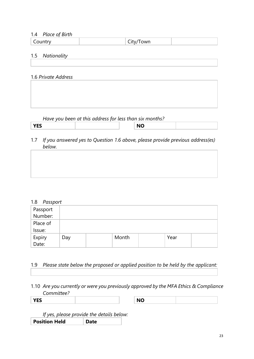### 1.4 *Place of Birth*

| - | .<br>าพยา<br><b>VVII</b> |  |
|---|--------------------------|--|
|   |                          |  |

### 1.5 *Nationality*

1.6 *Private Address* 

*Have you been at this address for less than six months?* 

| <b>VEC</b><br>$-$ |  | . |  |
|-------------------|--|---|--|
|                   |  |   |  |

1.7 *If you answered yes to Question 1.6 above, please provide previous address(es) below.*

| 1.8<br>Passport |  |
|-----------------|--|
|-----------------|--|

| Passport<br>Number: |     |       |      |  |
|---------------------|-----|-------|------|--|
|                     |     |       |      |  |
| Place of            |     |       |      |  |
| Issue:              |     |       |      |  |
| Expiry<br>Date:     | Day | Month | Year |  |
|                     |     |       |      |  |

### 1.9 *Please state below the proposed or applied position to be held by the applicant:*

1.10 *Are you currently or were you previously approved by the MFA Ethics & Compliance Committee?* 

**YES NO**

| <b>NIO</b> |  |
|------------|--|
|            |  |
|            |  |
| <b>NV</b>  |  |
|            |  |

*If yes, please provide the details below:* **Position Held Date**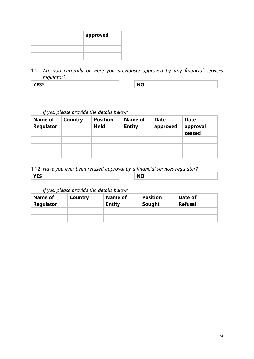| approved |
|----------|
|          |
|          |
|          |

1.11 *Are you currently or were you previously approved by any financial services regulator?*

| YES* | <b>NO</b> |
|------|-----------|
|------|-----------|

| ΝO |  |
|----|--|

### *If yes, please provide the details below:*

| Name of<br><b>Regulator</b> | Country | <b>Position</b><br><b>Held</b> | <b>Name of</b><br><b>Entity</b> | <b>Date</b><br>approved | <b>Date</b><br>approval<br>ceased |
|-----------------------------|---------|--------------------------------|---------------------------------|-------------------------|-----------------------------------|
|                             |         |                                |                                 |                         |                                   |
|                             |         |                                |                                 |                         |                                   |
|                             |         |                                |                                 |                         |                                   |

### 1.12 *Have you ever been refused approval by a financial services regulator?*

|--|

*If yes, please provide the details below:*

| Name of<br>Regulator | Country | Name of<br><b>Entity</b> | <b>Position</b><br>Sought | Date of<br><b>Refusal</b> |
|----------------------|---------|--------------------------|---------------------------|---------------------------|
|                      |         |                          |                           |                           |
|                      |         |                          |                           |                           |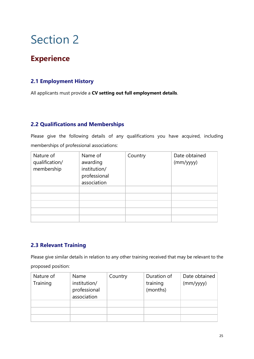# **Experience**

### **2.1 Employment History**

All applicants must provide a **CV setting out full employment details**.

### **2.2 Qualifications and Memberships**

Please give the following details of any qualifications you have acquired, including memberships of professional associations:

| Nature of<br>qualification/<br>membership | Name of<br>awarding<br>institution/<br>professional<br>association | Country | Date obtained<br>(mm/yyyy) |
|-------------------------------------------|--------------------------------------------------------------------|---------|----------------------------|
|                                           |                                                                    |         |                            |
|                                           |                                                                    |         |                            |
|                                           |                                                                    |         |                            |
|                                           |                                                                    |         |                            |
|                                           |                                                                    |         |                            |

### **2.3 Relevant Training**

Please give similar details in relation to any other training received that may be relevant to the proposed position:

| Nature of<br>Training | Name<br>institution/<br>professional<br>association | Country | Duration of<br>training<br>(months) | Date obtained<br>(mm/yyyy) |
|-----------------------|-----------------------------------------------------|---------|-------------------------------------|----------------------------|
|                       |                                                     |         |                                     |                            |
|                       |                                                     |         |                                     |                            |
|                       |                                                     |         |                                     |                            |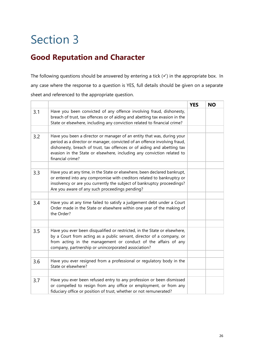# **Good Reputation and Character**

The following questions should be answered by entering a tick (v) in the appropriate box. In any case where the response to a question is YES, full details should be given on a separate sheet and referenced to the appropriate question.

|     |                                                                                                                                                                                                                                                                                                                              | <b>YES</b> | <b>NO</b> |
|-----|------------------------------------------------------------------------------------------------------------------------------------------------------------------------------------------------------------------------------------------------------------------------------------------------------------------------------|------------|-----------|
| 3.1 | Have you been convicted of any offence involving fraud, dishonesty,<br>breach of trust, tax offences or of aiding and abetting tax evasion in the                                                                                                                                                                            |            |           |
|     | State or elsewhere, including any conviction related to financial crime?                                                                                                                                                                                                                                                     |            |           |
| 3.2 | Have you been a director or manager of an entity that was, during your<br>period as a director or manager, convicted of an offence involving fraud,<br>dishonesty, breach of trust, tax offences or of aiding and abetting tax<br>evasion in the State or elsewhere, including any conviction related to<br>financial crime? |            |           |
|     |                                                                                                                                                                                                                                                                                                                              |            |           |
| 3.3 | Have you at any time, in the State or elsewhere, been declared bankrupt,<br>or entered into any compromise with creditors related to bankruptcy or<br>insolvency or are you currently the subject of bankruptcy proceedings?<br>Are you aware of any such proceedings pending?                                               |            |           |
|     |                                                                                                                                                                                                                                                                                                                              |            |           |
| 3.4 | Have you at any time failed to satisfy a judgement debt under a Court<br>Order made in the State or elsewhere within one year of the making of<br>the Order?                                                                                                                                                                 |            |           |
|     |                                                                                                                                                                                                                                                                                                                              |            |           |
| 3.5 | Have you ever been disqualified or restricted, in the State or elsewhere,<br>by a Court from acting as a public servant, director of a company, or<br>from acting in the management or conduct of the affairs of any<br>company, partnership or unincorporated association?                                                  |            |           |
|     |                                                                                                                                                                                                                                                                                                                              |            |           |
| 3.6 | Have you ever resigned from a professional or regulatory body in the<br>State or elsewhere?                                                                                                                                                                                                                                  |            |           |
|     |                                                                                                                                                                                                                                                                                                                              |            |           |
| 3.7 | Have you ever been refused entry to any profession or been dismissed<br>or compelled to resign from any office or employment, or from any<br>fiduciary office or position of trust, whether or not remunerated?                                                                                                              |            |           |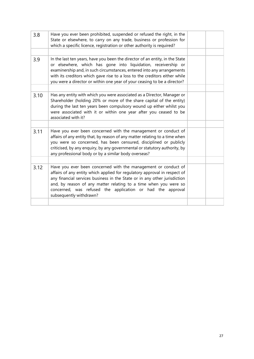| 3.8  | Have you ever been prohibited, suspended or refused the right, in the<br>State or elsewhere, to carry on any trade, business or profession for<br>which a specific licence, registration or other authority is required?                                                                                                                                                              |  |
|------|---------------------------------------------------------------------------------------------------------------------------------------------------------------------------------------------------------------------------------------------------------------------------------------------------------------------------------------------------------------------------------------|--|
|      |                                                                                                                                                                                                                                                                                                                                                                                       |  |
| 3.9  | In the last ten years, have you been the director of an entity, in the State<br>or elsewhere, which has gone into liquidation, receivership or<br>examinership and, in such circumstances, entered into any arrangements<br>with its creditors which gave rise to a loss to the creditors either while<br>you were a director or within one year of your ceasing to be a director?    |  |
|      |                                                                                                                                                                                                                                                                                                                                                                                       |  |
| 3.10 | Has any entity with which you were associated as a Director, Manager or<br>Shareholder (holding 20% or more of the share capital of the entity)<br>during the last ten years been compulsory wound up either whilst you<br>were associated with it or within one year after you ceased to be<br>associated with it?                                                                   |  |
|      |                                                                                                                                                                                                                                                                                                                                                                                       |  |
| 3.11 | Have you ever been concerned with the management or conduct of<br>affairs of any entity that, by reason of any matter relating to a time when<br>you were so concerned, has been censured, disciplined or publicly<br>criticised, by any enquiry, by any governmental or statutory authority, by<br>any professional body or by a similar body overseas?                              |  |
|      |                                                                                                                                                                                                                                                                                                                                                                                       |  |
| 3.12 | Have you ever been concerned with the management or conduct of<br>affairs of any entity which applied for regulatory approval in respect of<br>any financial services business in the State or in any other jurisdiction<br>and, by reason of any matter relating to a time when you were so<br>concerned, was refused the application or had the approval<br>subsequently withdrawn? |  |
|      |                                                                                                                                                                                                                                                                                                                                                                                       |  |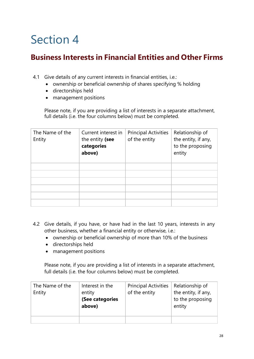# **Business Interests in Financial Entities and Other Firms**

- 4.1 Give details of any current interests in financial entities, i.e.:
	- ownership or beneficial ownership of shares specifying % holding
	- directorships held
	- management positions

Please note, if you are providing a list of interests in a separate attachment, full details (i.e. the four columns below) must be completed.

| The Name of the<br>Entity | Current interest in<br>the entity (see<br>categories<br>above) | <b>Principal Activities</b><br>of the entity | Relationship of<br>the entity, if any,<br>to the proposing<br>entity |
|---------------------------|----------------------------------------------------------------|----------------------------------------------|----------------------------------------------------------------------|
|                           |                                                                |                                              |                                                                      |
|                           |                                                                |                                              |                                                                      |
|                           |                                                                |                                              |                                                                      |
|                           |                                                                |                                              |                                                                      |
|                           |                                                                |                                              |                                                                      |
|                           |                                                                |                                              |                                                                      |

- 4.2 Give details, if you have, or have had in the last 10 years, interests in any other business, whether a financial entity or otherwise, i.e.:
	- ownership or beneficial ownership of more than 10% of the business
	- directorships held
	- management positions

Please note, if you are providing a list of interests in a separate attachment, full details (i.e. the four columns below) must be completed.

| The Name of the<br>Entity | Interest in the<br>entity<br>(See categories<br>above) | <b>Principal Activities</b><br>of the entity | Relationship of<br>the entity, if any,<br>to the proposing<br>entity |
|---------------------------|--------------------------------------------------------|----------------------------------------------|----------------------------------------------------------------------|
|                           |                                                        |                                              |                                                                      |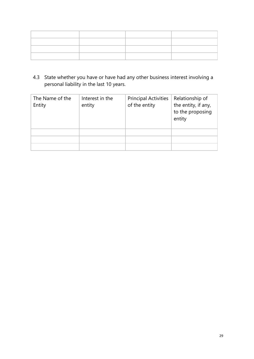4.3 State whether you have or have had any other business interest involving a personal liability in the last 10 years.

| The Name of the<br>Entity | Interest in the<br>entity | <b>Principal Activities</b><br>of the entity | Relationship of<br>the entity, if any,<br>to the proposing<br>entity |
|---------------------------|---------------------------|----------------------------------------------|----------------------------------------------------------------------|
|                           |                           |                                              |                                                                      |
|                           |                           |                                              |                                                                      |
|                           |                           |                                              |                                                                      |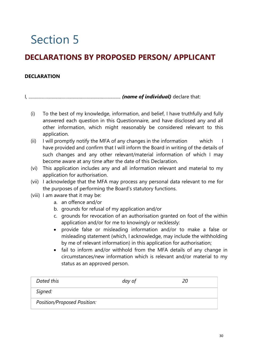# **DECLARATIONS BY PROPOSED PERSON/ APPLICANT**

### **DECLARATION**

I, ................................................................................... *(name of individual)* declare that:

- (i) To the best of my knowledge, information, and belief, I have truthfully and fully answered each question in this Questionnaire, and have disclosed any and all other information, which might reasonably be considered relevant to this application.
- (ii) I will promptly notify the MFA of any changes in the information which I have provided and confirm that I will inform the Board in writing of the details of such changes and any other relevant/material information of which I may become aware at any time after the date of this Declaration.
- (vi) This application includes any and all information relevant and material to my application for authorisation.
- (vii) I acknowledge that the MFA may process any personal data relevant to me for the purposes of performing the Board's statutory functions.
- (viii) I am aware that it may be:
	- a. an offence and/or
	- b. grounds for refusal of my application and/or
	- c. grounds for revocation of an authorisation granted on foot of the within application and/or for me to knowingly or recklessly:
	- provide false or misleading information and/or to make a false or misleading statement (which, I acknowledge, may include the withholding by me of relevant information) in this application for authorisation;
	- fail to inform and/or withhold from the MFA details of any change in circumstances/new information which is relevant and/or material to my status as an approved person.

| Dated this                  | day of | 20 |
|-----------------------------|--------|----|
| Signed:                     |        |    |
| Position/Proposed Position: |        |    |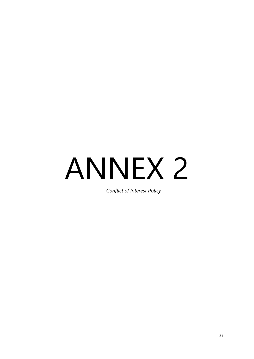# ANNEX 2

*Conflict of Interest Policy*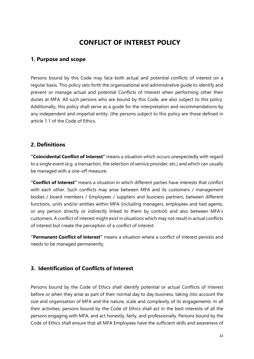# **CONFLICT OF INTEREST POLICY**

### **1. Purpose and scope**

Persons bound by this Code may face both actual and potential conflicts of interest on a regular basis. This policy sets forth the organisational and administrative guide to identify and prevent or manage actual and potential Conflicts of Interest when performing other their duties at MFA. All such persons who are bound by this Code, are also subject to this policy. Additionally, this policy shall serve as a guide for the interpretation and recommendations by any independent and impartial entity. (the persons subject to this policy are those defined in article 1.1 of the Code of Ethics.

### **2. Definitions**

**"Coincidental Conflict of Interest"** means a situation which occurs unexpectedly with regard to a single event (e.g. a transaction, the selection of service provider, etc.) and which can usually be managed with a one-off measure;

**"Conflict of Interest"** means a situation in which different parties have interests that conflict with each other. Such conflicts may arise between MFA and its customers / management bodies / board members / Employees / suppliers and business partners, between different functions, units and/or entities within MFA (including managers, employees and tied agents, or any person directly or indirectly linked to them by control) and also between MFA's customers. A conflict of interest might exist in situations which may not result in actual conflicts of interest but create the perception of a conflict of interest.

**"Permanent Conflict of Interest"** means a situation where a conflict of interest persists and needs to be managed permanently.

### **3. Identification of Conflicts of Interest**

Persons bound by the Code of Ethics shall identify potential or actual Conflicts of Interest before or when they arise as part of their normal day to day business, taking into account the size and organisation of MFA and the nature, scale and complexity of its engagements. In all their activities, persons bound by the Code of Ethics shall act in the best interests of all the persons engaging with MFA, and act honestly, fairly, and professionally. Persons bound by the Code of Ethics shall ensure that all MFA Employees have the sufficient skills and awareness of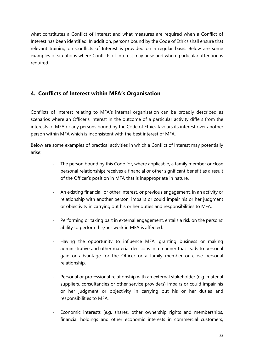what constitutes a Conflict of Interest and what measures are required when a Conflict of Interest has been identified. In addition, persons bound by the Code of Ethics shall ensure that relevant training on Conflicts of Interest is provided on a regular basis. Below are some examples of situations where Conflicts of Interest may arise and where particular attention is required.

### **4. Conflicts of Interest within MFA's Organisation**

Conflicts of Interest relating to MFA's internal organisation can be broadly described as scenarios where an Officer's interest in the outcome of a particular activity differs from the interests of MFA or any persons bound by the Code of Ethics favours its interest over another person within MFA which is inconsistent with the best interest of MFA.

Below are some examples of practical activities in which a Conflict of Interest may potentially arise:

- The person bound by this Code (or, where applicable, a family member or close personal relationship) receives a financial or other significant benefit as a result of the Officer's position in MFA that is inappropriate in nature.
- An existing financial, or other interest, or previous engagement, in an activity or relationship with another person, impairs or could impair his or her judgment or objectivity in carrying out his or her duties and responsibilities to MFA.
- Performing or taking part in external engagement, entails a risk on the persons' ability to perform his/her work in MFA is affected.
- Having the opportunity to influence MFA, granting business or making administrative and other material decisions in a manner that leads to personal gain or advantage for the Officer or a family member or close personal relationship.
- Personal or professional relationship with an external stakeholder (e.g. material suppliers, consultancies or other service providers) impairs or could impair his or her judgment or objectivity in carrying out his or her duties and responsibilities to MFA.
- Economic interests (e.g. shares, other ownership rights and memberships, financial holdings and other economic interests in commercial customers,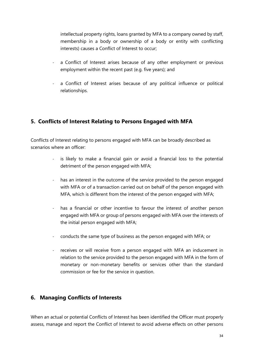intellectual property rights, loans granted by MFA to a company owned by staff, membership in a body or ownership of a body or entity with conflicting interests) causes a Conflict of Interest to occur;

- a Conflict of Interest arises because of any other employment or previous employment within the recent past (e.g. five years); and
- a Conflict of Interest arises because of any political influence or political relationships.

### **5. Conflicts of Interest Relating to Persons Engaged with MFA**

Conflicts of Interest relating to persons engaged with MFA can be broadly described as scenarios where an officer:

- is likely to make a financial gain or avoid a financial loss to the potential detriment of the person engaged with MFA;
- has an interest in the outcome of the service provided to the person engaged with MFA or of a transaction carried out on behalf of the person engaged with MFA, which is different from the interest of the person engaged with MFA;
- has a financial or other incentive to favour the interest of another person engaged with MFA or group of persons engaged with MFA over the interests of the initial person engaged with MFA;
- conducts the same type of business as the person engaged with MFA; or
- receives or will receive from a person engaged with MFA an inducement in relation to the service provided to the person engaged with MFA in the form of monetary or non-monetary benefits or services other than the standard commission or fee for the service in question.

### **6. Managing Conflicts of Interests**

When an actual or potential Conflicts of Interest has been identified the Officer must properly assess, manage and report the Conflict of Interest to avoid adverse effects on other persons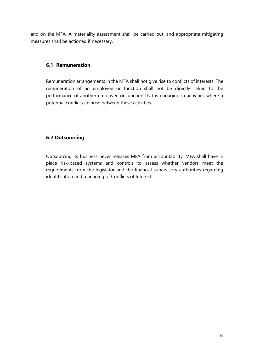and on the MFA. A materiality assessment shall be carried out, and appropriate mitigating measures shall be actioned if necessary.

### **6.1 Remuneration**

Remuneration arrangements in the MFA shall not give rise to conflicts of interests. The remuneration of an employee or function shall not be directly linked to the performance of another employee or function that is engaging in activities where a potential conflict can arise between these activities.

### **6.2 Outsourcing**

Outsourcing its business never releases MFA from accountability. MFA shall have in place risk-based systems and controls to assess whether vendors meet the requirements from the legislator and the financial supervisory authorities regarding identification and managing of Conflicts of Interest.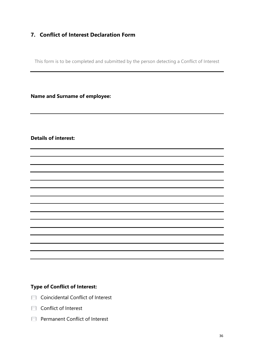### **7. Conflict of Interest Declaration Form**

This form is to be completed and submitted by the person detecting a Conflict of Interest

**Name and Surname of employee:**

### **Details of interest:**

### **Type of Conflict of Interest:**

- **T** Coincidental Conflict of Interest
- **T** Conflict of Interest
- **Permanent Conflict of Interest**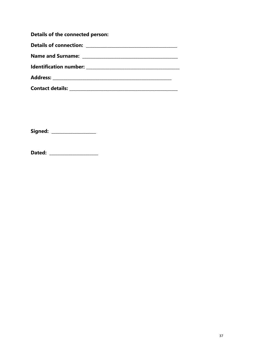| Details of the connected person: |
|----------------------------------|
|                                  |
|                                  |
|                                  |
|                                  |
|                                  |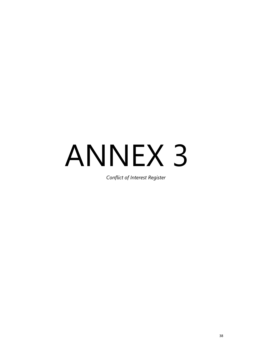# ANNEX 3

*Conflict of Interest Register*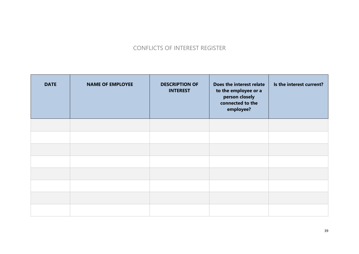### CONFLICTS OF INTEREST REGISTER

| <b>DATE</b> | <b>NAME OF EMPLOYEE</b> | <b>DESCRIPTION OF</b><br><b>INTEREST</b> | Does the interest relate<br>to the employee or a<br>person closely<br>connected to the<br>employee? | Is the interest current? |
|-------------|-------------------------|------------------------------------------|-----------------------------------------------------------------------------------------------------|--------------------------|
|             |                         |                                          |                                                                                                     |                          |
|             |                         |                                          |                                                                                                     |                          |
|             |                         |                                          |                                                                                                     |                          |
|             |                         |                                          |                                                                                                     |                          |
|             |                         |                                          |                                                                                                     |                          |
|             |                         |                                          |                                                                                                     |                          |
|             |                         |                                          |                                                                                                     |                          |
|             |                         |                                          |                                                                                                     |                          |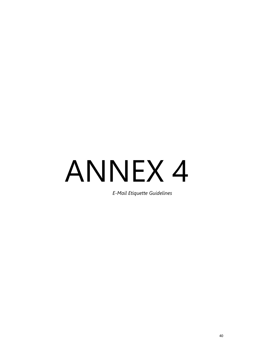# ANNEX 4

*E-Mail Etiquette Guidelines*